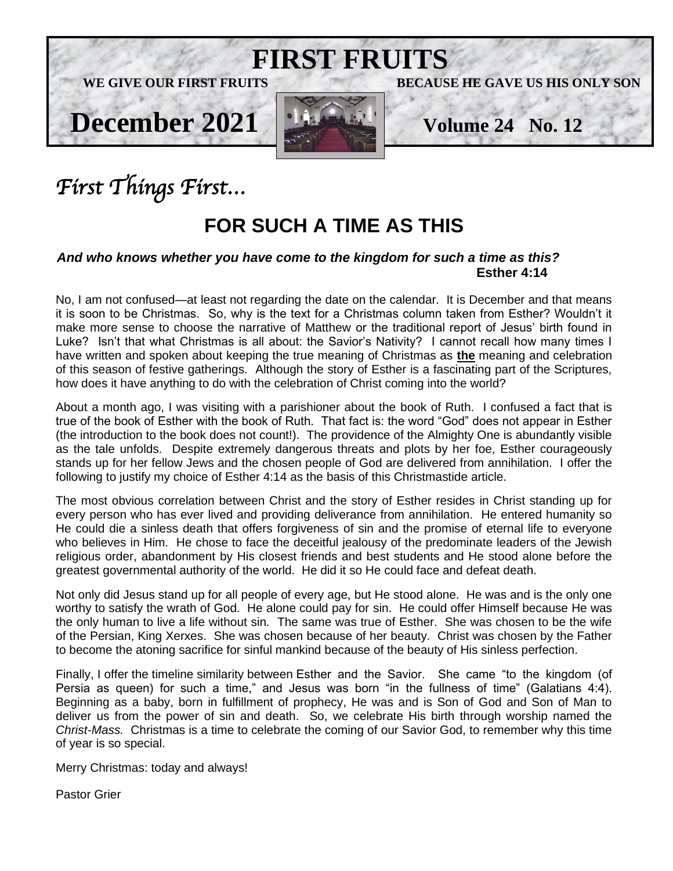

# *First Things First…*

## **FOR SUCH A TIME AS THIS**

#### *And who knows whether you have come to the kingdom for such a time as this?* **Esther 4:14**

No, I am not confused—at least not regarding the date on the calendar. It is December and that means it is soon to be Christmas. So, why is the text for a Christmas column taken from Esther? Wouldn't it make more sense to choose the narrative of Matthew or the traditional report of Jesus' birth found in Luke? Isn't that what Christmas is all about: the Savior's Nativity? I cannot recall how many times I have written and spoken about keeping the true meaning of Christmas as **the** meaning and celebration of this season of festive gatherings. Although the story of Esther is a fascinating part of the Scriptures, how does it have anything to do with the celebration of Christ coming into the world?

About a month ago, I was visiting with a parishioner about the book of Ruth. I confused a fact that is true of the book of Esther with the book of Ruth. That fact is: the word "God" does not appear in Esther (the introduction to the book does not count!). The providence of the Almighty One is abundantly visible as the tale unfolds. Despite extremely dangerous threats and plots by her foe, Esther courageously stands up for her fellow Jews and the chosen people of God are delivered from annihilation. I offer the following to justify my choice of Esther 4:14 as the basis of this Christmastide article.

The most obvious correlation between Christ and the story of Esther resides in Christ standing up for every person who has ever lived and providing deliverance from annihilation. He entered humanity so He could die a sinless death that offers forgiveness of sin and the promise of eternal life to everyone who believes in Him. He chose to face the deceitful jealousy of the predominate leaders of the Jewish religious order, abandonment by His closest friends and best students and He stood alone before the greatest governmental authority of the world. He did it so He could face and defeat death.

Not only did Jesus stand up for all people of every age, but He stood alone. He was and is the only one worthy to satisfy the wrath of God. He alone could pay for sin. He could offer Himself because He was the only human to live a life without sin. The same was true of Esther. She was chosen to be the wife of the Persian, King Xerxes. She was chosen because of her beauty. Christ was chosen by the Father to become the atoning sacrifice for sinful mankind because of the beauty of His sinless perfection.

Finally, I offer the timeline similarity between Esther and the Savior. She came "to the kingdom (of Persia as queen) for such a time," and Jesus was born "in the fullness of time" (Galatians 4:4). Beginning as a baby, born in fulfillment of prophecy, He was and is Son of God and Son of Man to deliver us from the power of sin and death. So, we celebrate His birth through worship named the *Christ-Mass.* Christmas is a time to celebrate the coming of our Savior God, to remember why this time of year is so special.

Merry Christmas: today and always!

Pastor Grier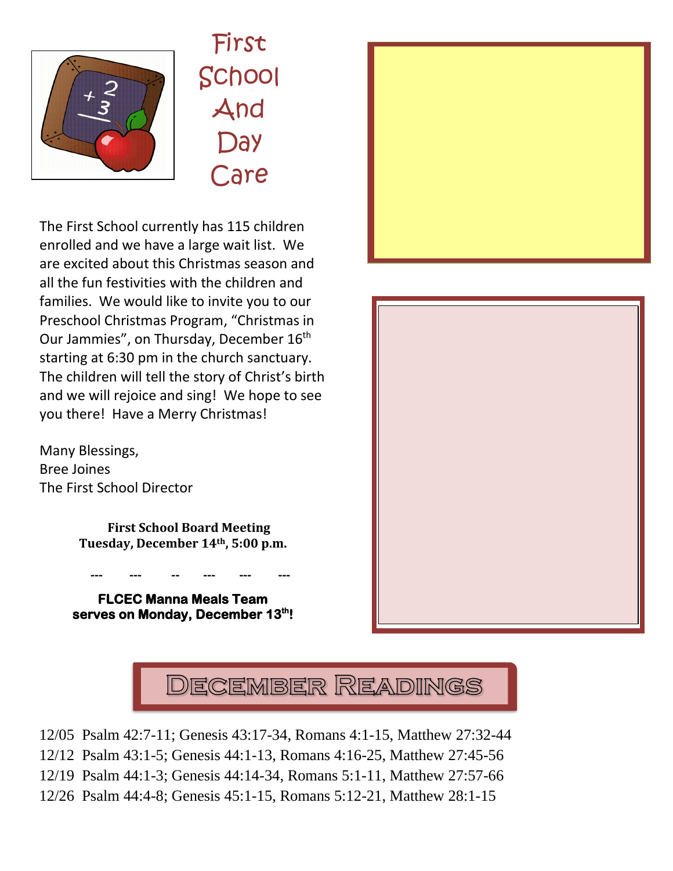

First School And **Day** Care

The First School currently has 115 children enrolled and we have a large wait list. We are excited about this Christmas season and all the fun festivities with the children and families. We would like to invite you to our Preschool Christmas Program, "Christmas in Our Jammies", on Thursday, December 16<sup>th</sup> starting at 6:30 pm in the church sanctuary. The children will tell the story of Christ's birth and we will rejoice and sing! We hope to see you there! Have a Merry Christmas! e 11 $\Gamma$ e

Many Blessings, Bree Joines The First School Director

> **First School Board Meeting Tuesday, December 14th, 5:00 p.m.**

**FLCEC Manna Meals Team serves on Monday, December 13th!** 

 **--- --- -- --- --- ---**







12/05 Psalm 42:7-11; Genesis 43:17-34, Romans 4:1-15, Matthew 27:32-44

12/12 Psalm 43:1-5; Genesis 44:1-13, Romans 4:16-25, Matthew 27:45-56

12/19 Psalm 44:1-3; Genesis 44:14-34, Romans 5:1-11, Matthew 27:57-66

12/26 Psalm 44:4-8; Genesis 45:1-15, Romans 5:12-21, Matthew 28:1-15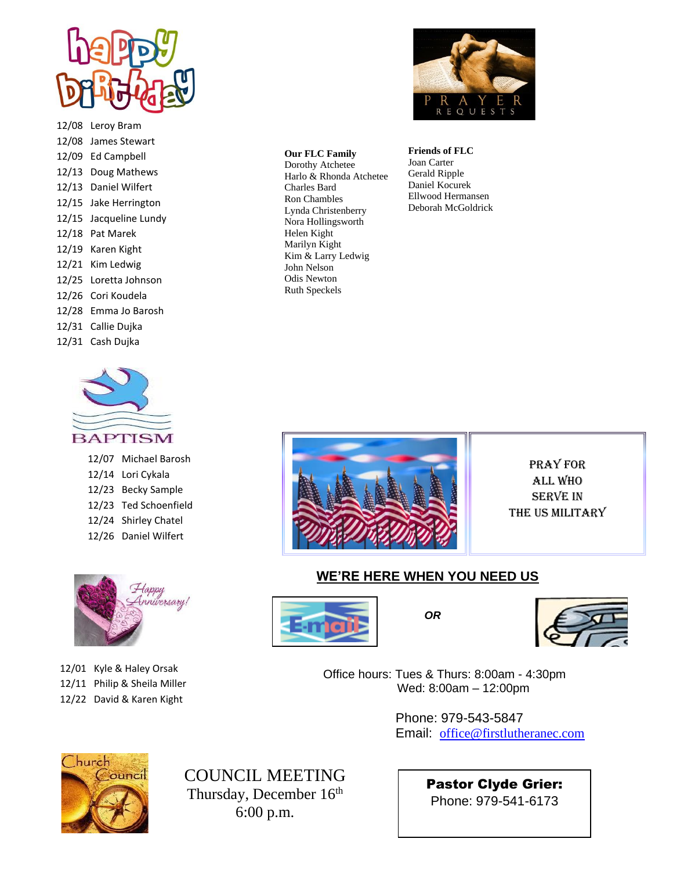

12/08 Leroy Bram 12/08 James Stewart 12/09 Ed Campbell 12/13 Doug Mathews 12/13 Daniel Wilfert 12/15 Jake Herrington 12/15 Jacqueline Lundy 12/18 Pat Marek 12/19 Karen Kight 12/21 Kim Ledwig 12/25 Loretta Johnson 12/26 Cori Koudela 12/28 Emma Jo Barosh 12/31 Callie Dujka 12/31 Cash Dujka



12/07 Michael Barosh 12/14 Lori Cykala 12/23 Becky Sample 12/23 Ted Schoenfield 12/24 Shirley Chatel 12/26 Daniel Wilfert



12/01 Kyle & Haley Orsak 12/11 Philip & Sheila Miller 12/22 David & Karen Kight



#### Harlo & Rhonda Atchetee **Our FLC Family** Dorothy Atchetee Charles Bard Ron Chambles Lynda Christenberry Nora Hollingsworth Helen Kight Marilyn Kight Kim & Larry Ledwig John Nelson

Odis Newton Ruth Speckels

#### **Friends of FLC**

Joan Carter Gerald Ripple Daniel Kocurek Ellwood Hermansen Deborah McGoldrick



Pray for All who Serve In the us Military

#### **WE'RE HERE WHEN YOU NEED US**





 Office hours: Tues & Thurs: 8:00am - 4:30pm Wed: 8:00am – 12:00pm

> Phone: 979-543-5847 Email: [office@firstlutheranec.com](mailto:office@firstlutheranec.com)



COUNCIL MEETING Thursday, December 16<sup>th</sup> 6:00 p.m.

Pastor Clyde Grier: Phone: 979-541-6173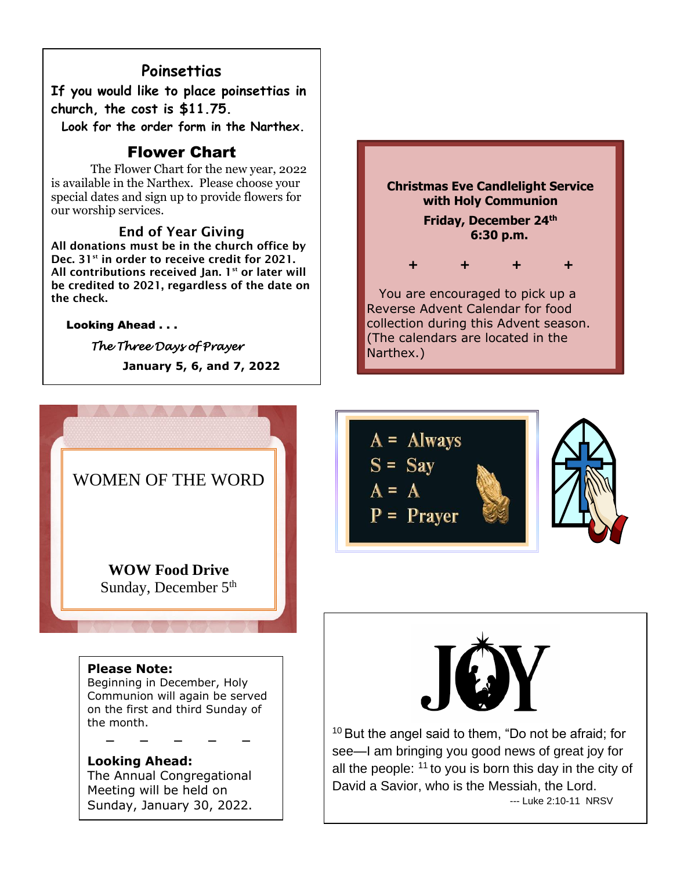### **Poinsettias**

**If you would like to place poinsettias in church, the cost is \$11.75.** 

 **Look for the order form in the Narthex.**

#### Flower Chart

The Flower Chart for the new year, 2022 is available in the Narthex. Please choose your special dates and sign up to provide flowers for our worship services.

#### End of Year Giving

All donations must be in the church office by Dec. 31<sup>st</sup> in order to receive credit for 2021. All contributions received Jan.  $1^{st}$  or later will be credited to 2021, regardless of the date on the check.

#### Looking Ahead . . .

Ī

*The Three Days of Prayer*   **January 5, 6, and 7, 2022**



#### **Please Note:**

Beginning in December, Holy Communion will again be served on the first and third Sunday of the month.

**Looking Ahead:** The Annual Congregational Meeting will be held on Sunday, January 30, 2022.

 **\_ \_ \_ \_ \_**







<sup>10</sup> But the angel said to them, "Do not be afraid; for see—I am bringing you good news of great joy for all the people:  $11$  to you is born this day in the city of David a Savior, who is the Messiah, the Lord. --- Luke 2:10-11 NRSV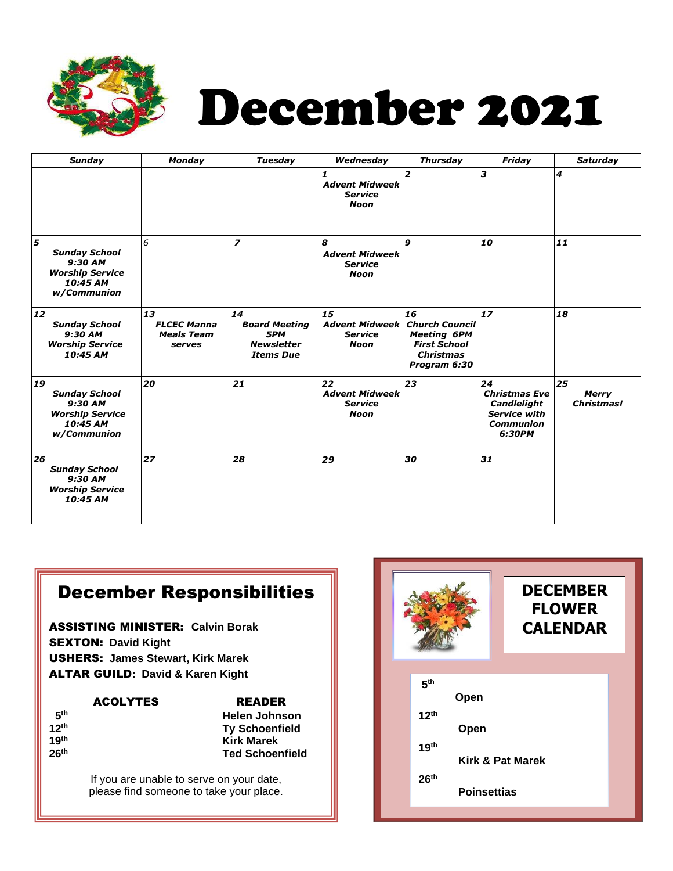

# December 2021

| <b>Sunday</b>                                                                              | <b>Monday</b>                                           | <b>Tuesday</b>                                                             | Wednesday                                                    | <b>Thursday</b>                                                                                              | Friday                                                                                                | <b>Saturday</b>                  |
|--------------------------------------------------------------------------------------------|---------------------------------------------------------|----------------------------------------------------------------------------|--------------------------------------------------------------|--------------------------------------------------------------------------------------------------------------|-------------------------------------------------------------------------------------------------------|----------------------------------|
|                                                                                            |                                                         |                                                                            | <b>Advent Midweek</b><br><b>Service</b><br><b>Noon</b>       | $\overline{2}$                                                                                               | з                                                                                                     | 4                                |
| 5<br><b>Sunday School</b><br>9:30 AM<br><b>Worship Service</b><br>10:45 AM<br>w/Communion  | 6                                                       | $\overline{z}$                                                             | 8<br><b>Advent Midweek</b><br><b>Service</b><br><b>Noon</b>  | 9                                                                                                            | 10                                                                                                    | 11                               |
| 12<br><b>Sunday School</b><br>9:30 AM<br><b>Worship Service</b><br>10:45 AM                | 13<br><b>FLCEC Manna</b><br><b>Meals Team</b><br>serves | 14<br><b>Board Meeting</b><br>5PM<br><b>Newsletter</b><br><b>Items Due</b> | 15<br><b>Advent Midweek</b><br><b>Service</b><br><b>Noon</b> | 16<br><b>Church Council</b><br><b>Meeting 6PM</b><br><b>First School</b><br><b>Christmas</b><br>Program 6:30 | 17                                                                                                    | 18                               |
| 19<br><b>Sunday School</b><br>9:30 AM<br><b>Worship Service</b><br>10:45 AM<br>w/Communion | 20                                                      | 21                                                                         | 22<br><b>Advent Midweek</b><br><b>Service</b><br>Noon        | 23                                                                                                           | 24<br><b>Christmas Eve</b><br><b>Candlelight</b><br><b>Service with</b><br><b>Communion</b><br>6:30PM | 25<br><b>Merry</b><br>Christmas! |
| 26<br><b>Sunday School</b><br>9:30 AM<br><b>Worship Service</b><br>10:45 AM                | 27                                                      | 28                                                                         | 29                                                           | 30                                                                                                           | 31                                                                                                    |                                  |

## December Responsibilities

ASSISTING MINISTER: **Calvin Borak** SEXTON: **David Kight**  USHERS: **James Stewart, Kirk Marek**  ALTAR GUILD**: David & Karen Kight** 

**19th**

| <b>READER</b>          |  |  |
|------------------------|--|--|
| <b>Helen Johnson</b>   |  |  |
| <b>Ty Schoenfield</b>  |  |  |
| <b>Kirk Marek</b>      |  |  |
| <b>Ted Schoenfield</b> |  |  |
|                        |  |  |

If you are unable to serve on your date, please find someone to take your place.